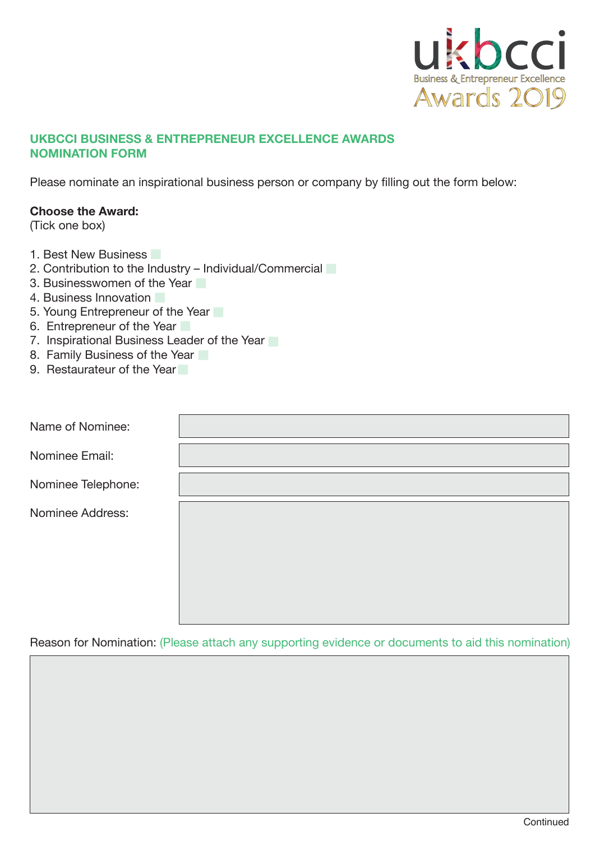

# **UKBCCI BUSINESS & ENTREPRENEUR EXCELLENCE AWARDS NOMINATION FORM**

Please nominate an inspirational business person or company by filling out the form below:

## **Choose the Award:**

(Tick one box)

- 1. Best New Business
- 2. Contribution to the Industry Individual/Commercial
- 3. Businesswomen of the Year
- 4. Business Innovation
- 5. Young Entrepreneur of the Year
- 6. Entrepreneur of the Year
- 7. Inspirational Business Leader of the Year
- 8. Family Business of the Year
- 9. Restaurateur of the Year

| Name of Nominee:   |  |
|--------------------|--|
| Nominee Email:     |  |
| Nominee Telephone: |  |
| Nominee Address:   |  |

Reason for Nomination: (Please attach any supporting evidence or documents to aid this nomination)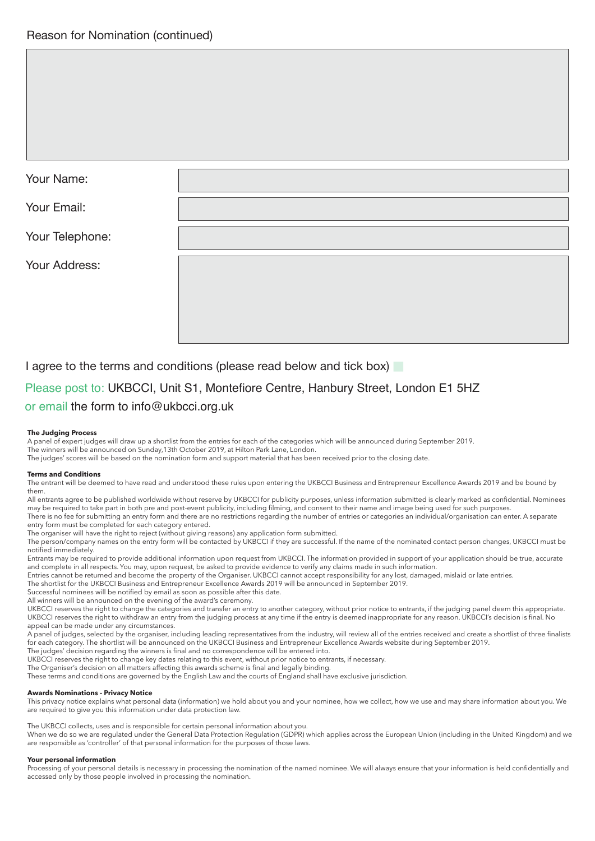| Your Name:      |  |
|-----------------|--|
| Your Email:     |  |
| Your Telephone: |  |
| Your Address:   |  |
|                 |  |

I agree to the terms and conditions (please read below and tick box)

# Please post to: UKBCCI, Unit S1, Montefiore Centre, Hanbury Street, London E1 5HZ or email the form to info@ukbcci.org.uk

## **The Judging Process**

A panel of expert judges will draw up a shortlist from the entries for each of the categories which will be announced during September 2019. The winners will be announced on Sunday,13th October 2019, at Hilton Park Lane, London.

The judges' scores will be based on the nomination form and support material that has been received prior to the closing date.

## **Terms and Conditions**

The entrant will be deemed to have read and understood these rules upon entering the UKBCCI Business and Entrepreneur Excellence Awards 2019 and be bound by them.

All entrants agree to be published worldwide without reserve by UKBCCI for publicity purposes, unless information submitted is clearly marked as confidential. Nominees may be required to take part in both pre and post-event publicity, including filming, and consent to their name and image being used for such purposes. There is no fee for submitting an entry form and there are no restrictions regarding the number of entries or categories an individual/organisation can enter. A separate entry form must be completed for each category entered.

The organiser will have the right to reject (without giving reasons) any application form submitted.

The person/company names on the entry form will be contacted by UKBCCI if they are successful. If the name of the nominated contact person changes, UKBCCI must be notified immediately.

Entrants may be required to provide additional information upon request from UKBCCI. The information provided in support of your application should be true, accurate and complete in all respects. You may, upon request, be asked to provide evidence to verify any claims made in such information.

Entries cannot be returned and become the property of the Organiser. UKBCCI cannot accept responsibility for any lost, damaged, mislaid or late entries. The shortlist for the UKBCCI Business and Entrepreneur Excellence Awards 2019 will be announced in September 2019.

Successful nominees will be notified by email as soon as possible after this date.

All winners will be announced on the evening of the award's ceremony.

UKBCCI reserves the right to change the categories and transfer an entry to another category, without prior notice to entrants, if the judging panel deem this appropriate. UKBCCI reserves the right to withdraw an entry from the judging process at any time if the entry is deemed inappropriate for any reason. UKBCCI's decision is final. No appeal can be made under any circumstances.

A panel of judges, selected by the organiser, including leading representatives from the industry, will review all of the entries received and create a shortlist of three finalists for each category. The shortlist will be announced on the UKBCCI Business and Entrepreneur Excellence Awards website during September 2019. The judges' decision regarding the winners is final and no correspondence will be entered into.

UKBCCI reserves the right to change key dates relating to this event, without prior notice to entrants, if necessary.

The Organiser's decision on all matters affecting this awards scheme is final and legally binding.

These terms and conditions are governed by the English Law and the courts of England shall have exclusive jurisdiction.

## **Awards Nominations - Privacy Notice**

This privacy notice explains what personal data (information) we hold about you and your nominee, how we collect, how we use and may share information about you. We are required to give you this information under data protection law.

The UKBCCI collects, uses and is responsible for certain personal information about you.

When we do so we are regulated under the General Data Protection Regulation (GDPR) which applies across the European Union (including in the United Kingdom) and we are responsible as 'controller' of that personal information for the purposes of those laws.

## **Your personal information**

Processing of your personal details is necessary in processing the nomination of the named nominee. We will always ensure that your information is held confidentially and accessed only by those people involved in processing the nomination.